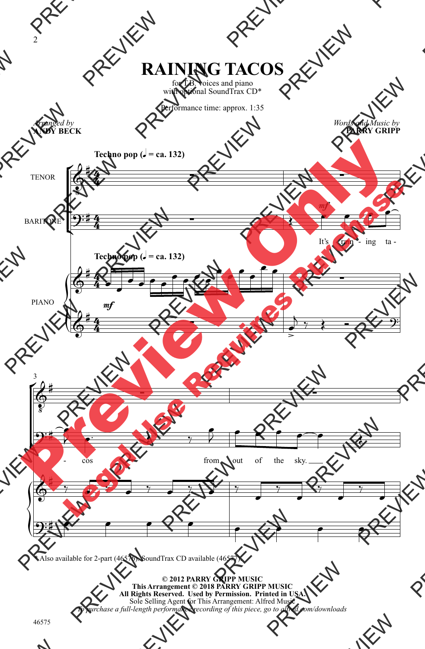## **RAINING TACOS**

for T.B. voices and piano with optional SoundTrax CD\*

Performance time: approx. 1:35



\* Also available for 2-part (46576). SoundTrax CD available (46577).

**© 2012 PARRY GRIPP MUSIC This Arrangement © 2018 PARRY GRIPP MUSIC All Rights Reserved. Used by Permission. Printed in USA.** Sole Selling Agent for This Arrangement: Alfred Music *To purchase a full-length performance recording of this piece, go to alfred.com/downloads*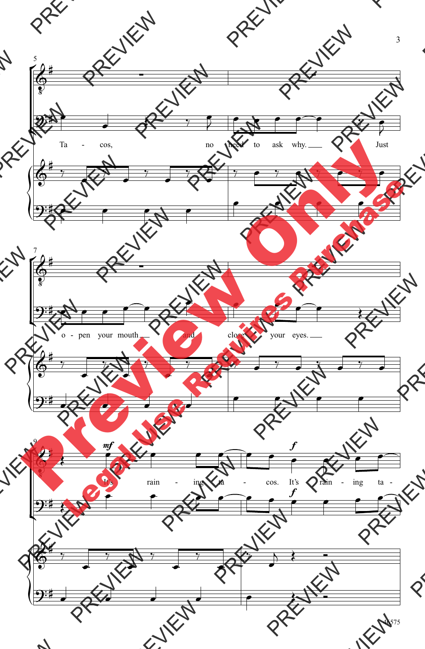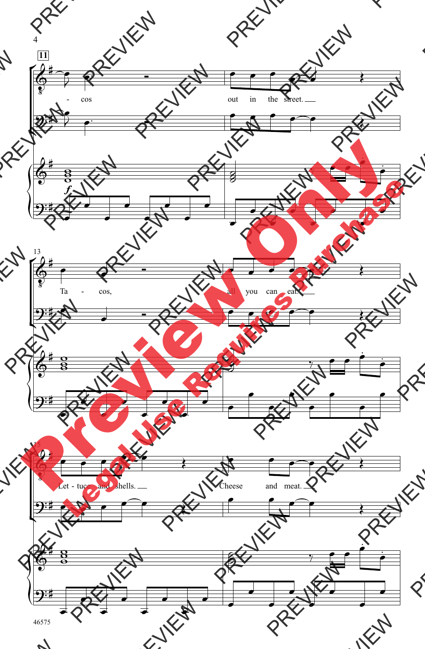

<sup>46575</sup>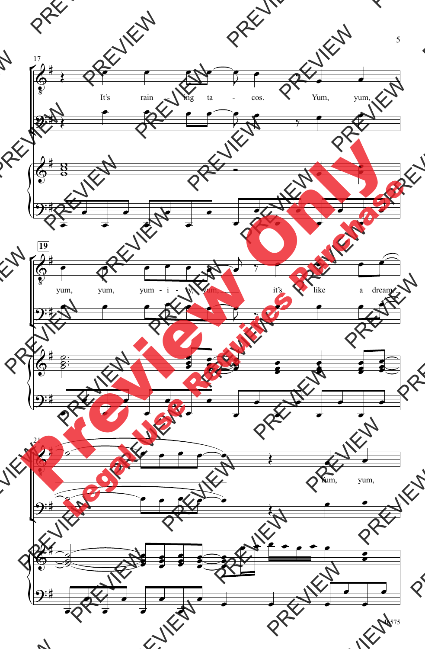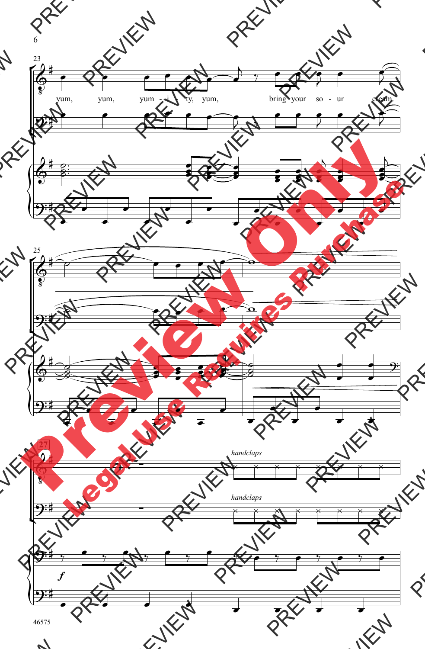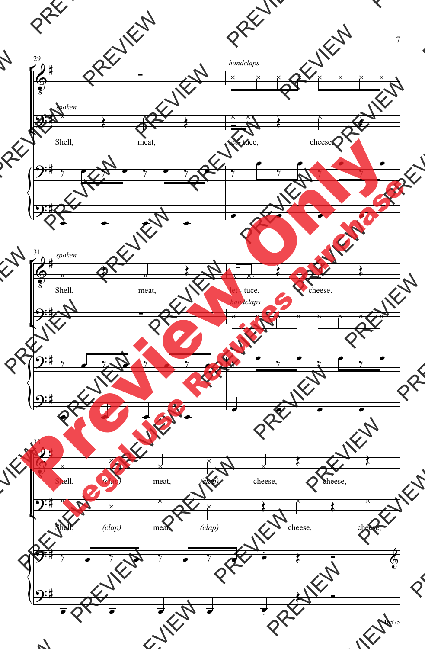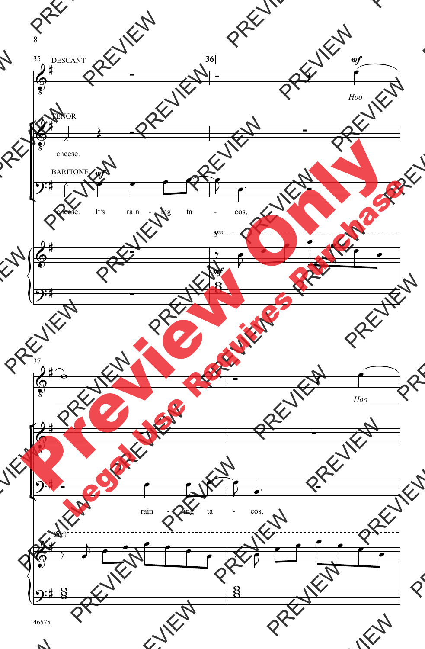![](_page_6_Figure_0.jpeg)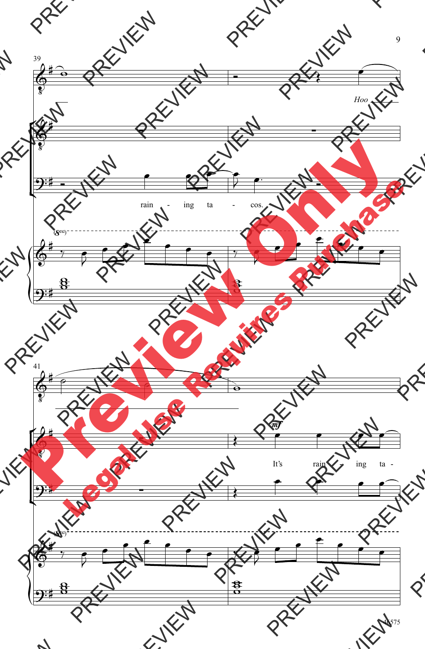![](_page_7_Figure_0.jpeg)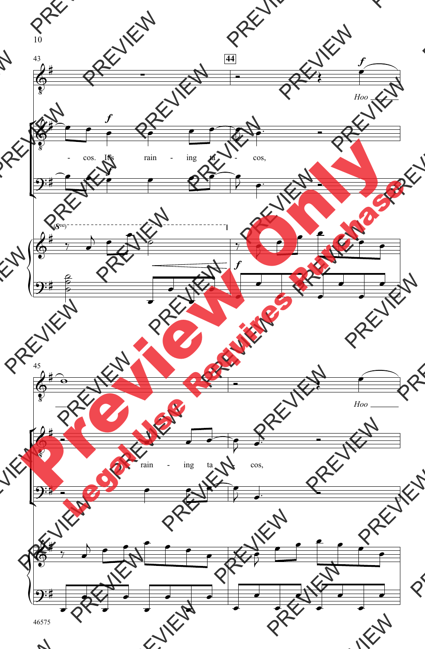![](_page_8_Figure_0.jpeg)